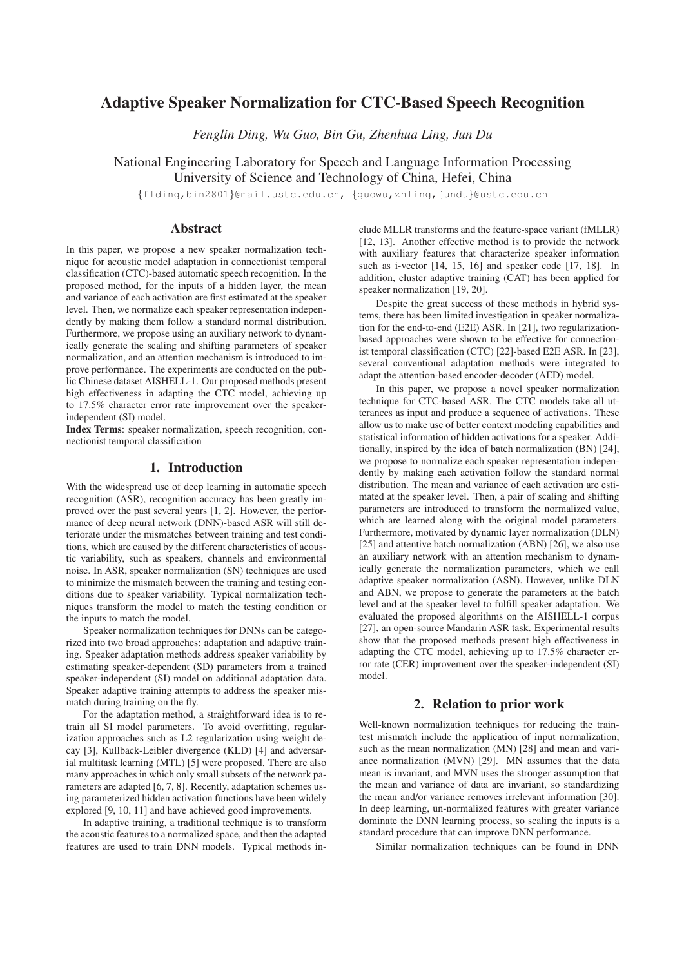# Adaptive Speaker Normalization for CTC-Based Speech Recognition

*Fenglin Ding, Wu Guo, Bin Gu, Zhenhua Ling, Jun Du*

National Engineering Laboratory for Speech and Language Information Processing University of Science and Technology of China, Hefei, China

{flding,bin2801}@mail.ustc.edu.cn, {guowu,zhling,jundu}@ustc.edu.cn

# Abstract

In this paper, we propose a new speaker normalization technique for acoustic model adaptation in connectionist temporal classification (CTC)-based automatic speech recognition. In the proposed method, for the inputs of a hidden layer, the mean and variance of each activation are first estimated at the speaker level. Then, we normalize each speaker representation independently by making them follow a standard normal distribution. Furthermore, we propose using an auxiliary network to dynamically generate the scaling and shifting parameters of speaker normalization, and an attention mechanism is introduced to improve performance. The experiments are conducted on the public Chinese dataset AISHELL-1. Our proposed methods present high effectiveness in adapting the CTC model, achieving up to 17.5% character error rate improvement over the speakerindependent (SI) model.

Index Terms: speaker normalization, speech recognition, connectionist temporal classification

# 1. Introduction

With the widespread use of deep learning in automatic speech recognition (ASR), recognition accuracy has been greatly improved over the past several years [1, 2]. However, the performance of deep neural network (DNN)-based ASR will still deteriorate under the mismatches between training and test conditions, which are caused by the different characteristics of acoustic variability, such as speakers, channels and environmental noise. In ASR, speaker normalization (SN) techniques are used to minimize the mismatch between the training and testing conditions due to speaker variability. Typical normalization techniques transform the model to match the testing condition or the inputs to match the model.

Speaker normalization techniques for DNNs can be categorized into two broad approaches: adaptation and adaptive training. Speaker adaptation methods address speaker variability by estimating speaker-dependent (SD) parameters from a trained speaker-independent (SI) model on additional adaptation data. Speaker adaptive training attempts to address the speaker mismatch during training on the fly.

For the adaptation method, a straightforward idea is to retrain all SI model parameters. To avoid overfitting, regularization approaches such as L2 regularization using weight decay [3], Kullback-Leibler divergence (KLD) [4] and adversarial multitask learning (MTL) [5] were proposed. There are also many approaches in which only small subsets of the network parameters are adapted [6, 7, 8]. Recently, adaptation schemes using parameterized hidden activation functions have been widely explored [9, 10, 11] and have achieved good improvements.

In adaptive training, a traditional technique is to transform the acoustic features to a normalized space, and then the adapted features are used to train DNN models. Typical methods include MLLR transforms and the feature-space variant (fMLLR) [12, 13]. Another effective method is to provide the network with auxiliary features that characterize speaker information such as i-vector [14, 15, 16] and speaker code [17, 18]. In addition, cluster adaptive training (CAT) has been applied for speaker normalization [19, 20].

Despite the great success of these methods in hybrid systems, there has been limited investigation in speaker normalization for the end-to-end (E2E) ASR. In [21], two regularizationbased approaches were shown to be effective for connectionist temporal classification (CTC) [22]-based E2E ASR. In [23], several conventional adaptation methods were integrated to adapt the attention-based encoder-decoder (AED) model.

In this paper, we propose a novel speaker normalization technique for CTC-based ASR. The CTC models take all utterances as input and produce a sequence of activations. These allow us to make use of better context modeling capabilities and statistical information of hidden activations for a speaker. Additionally, inspired by the idea of batch normalization (BN) [24], we propose to normalize each speaker representation independently by making each activation follow the standard normal distribution. The mean and variance of each activation are estimated at the speaker level. Then, a pair of scaling and shifting parameters are introduced to transform the normalized value, which are learned along with the original model parameters. Furthermore, motivated by dynamic layer normalization (DLN) [25] and attentive batch normalization (ABN) [26], we also use an auxiliary network with an attention mechanism to dynamically generate the normalization parameters, which we call adaptive speaker normalization (ASN). However, unlike DLN and ABN, we propose to generate the parameters at the batch level and at the speaker level to fulfill speaker adaptation. We evaluated the proposed algorithms on the AISHELL-1 corpus [27], an open-source Mandarin ASR task. Experimental results show that the proposed methods present high effectiveness in adapting the CTC model, achieving up to 17.5% character error rate (CER) improvement over the speaker-independent (SI) model.

# 2. Relation to prior work

Well-known normalization techniques for reducing the traintest mismatch include the application of input normalization, such as the mean normalization (MN) [28] and mean and variance normalization (MVN) [29]. MN assumes that the data mean is invariant, and MVN uses the stronger assumption that the mean and variance of data are invariant, so standardizing the mean and/or variance removes irrelevant information [30]. In deep learning, un-normalized features with greater variance dominate the DNN learning process, so scaling the inputs is a standard procedure that can improve DNN performance.

Similar normalization techniques can be found in DNN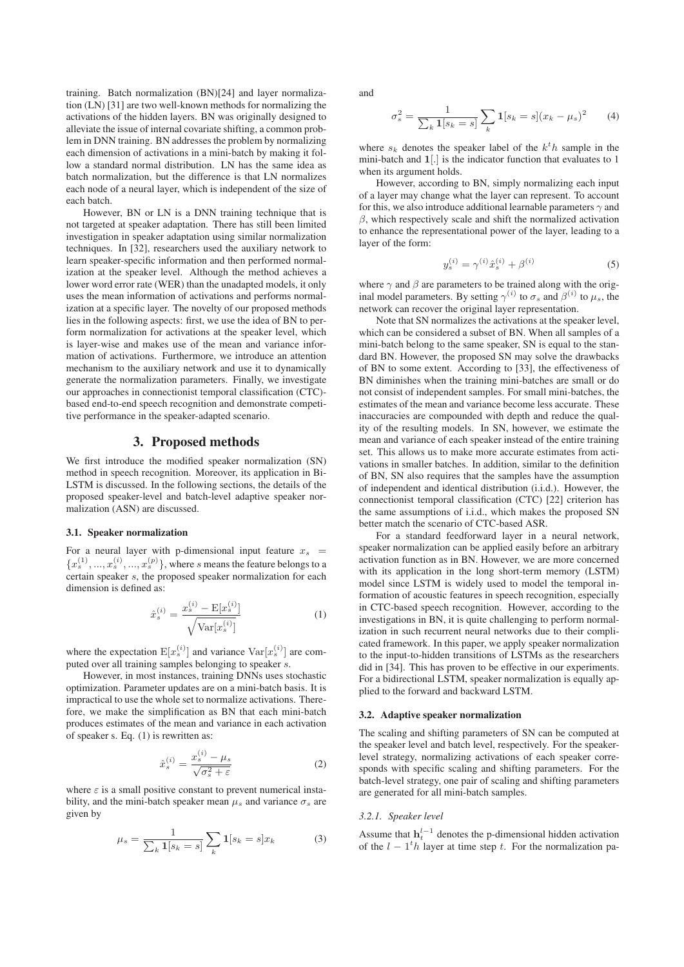training. Batch normalization (BN)[24] and layer normalization (LN) [31] are two well-known methods for normalizing the activations of the hidden layers. BN was originally designed to alleviate the issue of internal covariate shifting, a common problem in DNN training. BN addresses the problem by normalizing each dimension of activations in a mini-batch by making it follow a standard normal distribution. LN has the same idea as batch normalization, but the difference is that LN normalizes each node of a neural layer, which is independent of the size of each batch.

However, BN or LN is a DNN training technique that is not targeted at speaker adaptation. There has still been limited investigation in speaker adaptation using similar normalization techniques. In [32], researchers used the auxiliary network to learn speaker-specific information and then performed normalization at the speaker level. Although the method achieves a lower word error rate (WER) than the unadapted models, it only uses the mean information of activations and performs normalization at a specific layer. The novelty of our proposed methods lies in the following aspects: first, we use the idea of BN to perform normalization for activations at the speaker level, which is layer-wise and makes use of the mean and variance information of activations. Furthermore, we introduce an attention mechanism to the auxiliary network and use it to dynamically generate the normalization parameters. Finally, we investigate our approaches in connectionist temporal classification (CTC) based end-to-end speech recognition and demonstrate competitive performance in the speaker-adapted scenario.

### 3. Proposed methods

We first introduce the modified speaker normalization (SN) method in speech recognition. Moreover, its application in Bi-LSTM is discussed. In the following sections, the details of the proposed speaker-level and batch-level adaptive speaker normalization (ASN) are discussed.

#### 3.1. Speaker normalization

For a neural layer with p-dimensional input feature  $x_s$  =  ${x<sup>s</sup> \choose s}, ..., {x<sup>s</sup> \choose s}, ..., {x<sup>p</sup> \choose s}$ , where s means the feature belongs to a certain speaker s, the proposed speaker normalization for each dimension is defined as:

$$
\hat{x}_s^{(i)} = \frac{x_s^{(i)} - \mathbf{E}[x_s^{(i)}]}{\sqrt{\mathbf{Var}[x_s^{(i)}]}}
$$
(1)

where the expectation  $E[x_s^{(i)}]$  and variance  $Var[x_s^{(i)}]$  are computed over all training samples belonging to speaker s.

However, in most instances, training DNNs uses stochastic optimization. Parameter updates are on a mini-batch basis. It is impractical to use the whole set to normalize activations. Therefore, we make the simplification as BN that each mini-batch produces estimates of the mean and variance in each activation of speaker s. Eq. (1) is rewritten as:

$$
\hat{x}_s^{(i)} = \frac{x_s^{(i)} - \mu_s}{\sqrt{\sigma_s^2 + \varepsilon}}\tag{2}
$$

where  $\varepsilon$  is a small positive constant to prevent numerical instability, and the mini-batch speaker mean  $\mu_s$  and variance  $\sigma_s$  are given by

$$
\mu_s = \frac{1}{\sum_k 1[s_k = s]} \sum_k 1[s_k = s] x_k \tag{3}
$$

and

$$
\sigma_s^2 = \frac{1}{\sum_k 1[s_k = s]} \sum_k 1[s_k = s](x_k - \mu_s)^2
$$
 (4)

where  $s_k$  denotes the speaker label of the  $k^th$  sample in the mini-batch and  $1\downarrow$  is the indicator function that symbotic to 1 mini-batch and **1**[.] is the indicator function that evaluates to 1 when its argument holds.

However, according to BN, simply normalizing each input of a layer may change what the layer can represent. To account for this, we also introduce additional learnable parameters  $\gamma$  and  $\beta$ , which respectively scale and shift the normalized activation to enhance the representational power of the layer, leading to a layer of the form:

$$
y_s^{(i)} = \gamma^{(i)} \hat{x}_s^{(i)} + \beta^{(i)}
$$
 (5)

where  $\gamma$  and  $\beta$  are parameters to be trained along with the original model parameters. By setting  $\gamma^{(i)}$  to  $\sigma_s$  and  $\beta^{(i)}$  to  $\mu_s$ , the network can recover the original layer representation.

Note that SN normalizes the activations at the speaker level, which can be considered a subset of BN. When all samples of a mini-batch belong to the same speaker, SN is equal to the standard BN. However, the proposed SN may solve the drawbacks of BN to some extent. According to [33], the effectiveness of BN diminishes when the training mini-batches are small or do not consist of independent samples. For small mini-batches, the estimates of the mean and variance become less accurate. These inaccuracies are compounded with depth and reduce the quality of the resulting models. In SN, however, we estimate the mean and variance of each speaker instead of the entire training set. This allows us to make more accurate estimates from activations in smaller batches. In addition, similar to the definition of BN, SN also requires that the samples have the assumption of independent and identical distribution (i.i.d.). However, the connectionist temporal classification (CTC) [22] criterion has the same assumptions of i.i.d., which makes the proposed SN better match the scenario of CTC-based ASR.

For a standard feedforward layer in a neural network, speaker normalization can be applied easily before an arbitrary activation function as in BN. However, we are more concerned with its application in the long short-term memory (LSTM) model since LSTM is widely used to model the temporal information of acoustic features in speech recognition, especially in CTC-based speech recognition. However, according to the investigations in BN, it is quite challenging to perform normalization in such recurrent neural networks due to their complicated framework. In this paper, we apply speaker normalization to the input-to-hidden transitions of LSTMs as the researchers did in [34]. This has proven to be effective in our experiments. For a bidirectional LSTM, speaker normalization is equally applied to the forward and backward LSTM.

#### 3.2. Adaptive speaker normalization

The scaling and shifting parameters of SN can be computed at the speaker level and batch level, respectively. For the speakerlevel strategy, normalizing activations of each speaker corresponds with specific scaling and shifting parameters. For the batch-level strategy, one pair of scaling and shifting parameters are generated for all mini-batch samples.

# *3.2.1. Speaker level*

Assume that  $h_t^{l-1}$  denotes the p-dimensional hidden activation<br>of the  $l - 1^t h$  layer at time step t. For the normalization paof the  $l - 1<sup>t</sup> h$  layer at time step t. For the normalization pa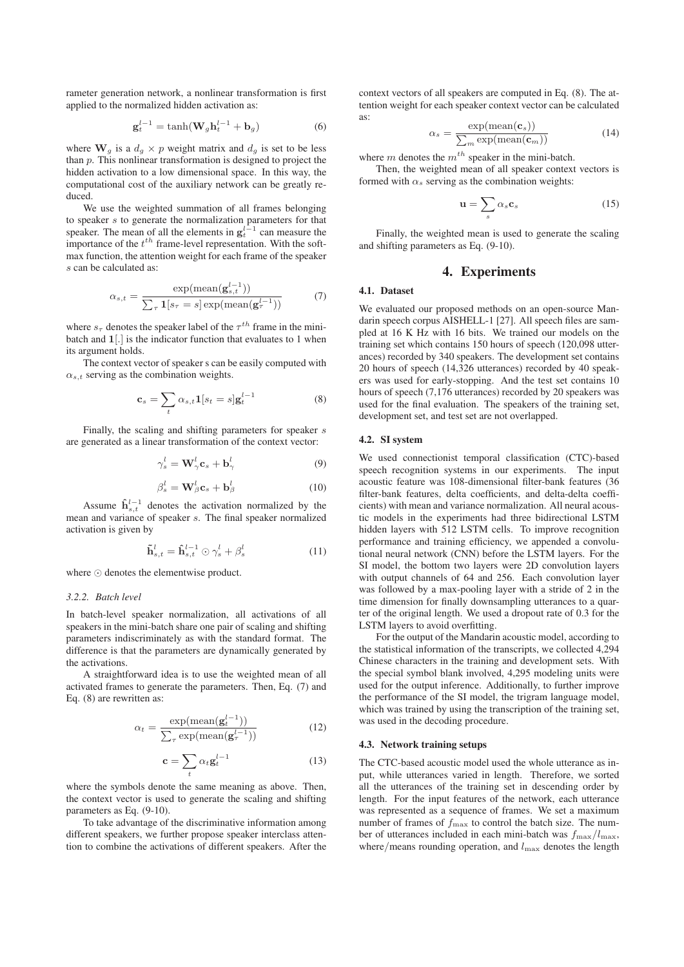rameter generation network, a nonlinear transformation is first applied to the normalized hidden activation as:

$$
\mathbf{g}_t^{l-1} = \tanh(\mathbf{W}_g \mathbf{h}_t^{l-1} + \mathbf{b}_g)
$$
 (6)

where  $\mathbf{W}_g$  is a  $d_g \times p$  weight matrix and  $d_g$  is set to be less than  $p$ . This nonlinear transformation is designed to project the hidden activation to a low dimensional space. In this way, the computational cost of the auxiliary network can be greatly reduced.

We use the weighted summation of all frames belonging to speaker s to generate the normalization parameters for that speaker. The mean of all the elements in  $g_t^{l-1}$  can measure the importance of the  $t^{th}$  frame-level representation. With the softimportance of the  $t^{th}$  frame-level representation. With the softmax function, the attention weight for each frame of the speaker s can be calculated as:

$$
\alpha_{s,t} = \frac{\exp(\text{mean}(\mathbf{g}_{s,t}^{l-1}))}{\sum_{\tau} \mathbf{1}[s_{\tau} = s] \exp(\text{mean}(\mathbf{g}_{\tau}^{l-1}))}
$$
(7)

where  $s_{\tau}$  denotes the speaker label of the  $\tau^{th}$  frame in the minibatch and **1**[.] is the indicator function that evaluates to 1 when its argument holds.

The context vector of speaker s can be easily computed with  $\alpha_{s,t}$  serving as the combination weights.

$$
\mathbf{c}_s = \sum_t \alpha_{s,t} \mathbf{1}[s_t = s] \mathbf{g}_t^{l-1} \tag{8}
$$

Finally, the scaling and shifting parameters for speaker s are generated as a linear transformation of the context vector:

$$
\gamma_s^l = \mathbf{W}_\gamma^l \mathbf{c}_s + \mathbf{b}_\gamma^l \tag{9}
$$

$$
\beta_s^l = \mathbf{W}_{\beta}^l \mathbf{c}_s + \mathbf{b}_{\beta}^l \tag{10}
$$

Assume  $\hat{\mathbf{h}}_{s,t}^{l-1}$  denotes the activation normalized by the n and variance of speaker s. The final speaker normalized mean and variance of speaker s. The final speaker normalized activation is given by

$$
\tilde{\mathbf{h}}_{s,t}^{l} = \hat{\mathbf{h}}_{s,t}^{l-1} \odot \gamma_s^l + \beta_s^l \tag{11}
$$

where  $\odot$  denotes the elementwise product.

### *3.2.2. Batch level*

In batch-level speaker normalization, all activations of all speakers in the mini-batch share one pair of scaling and shifting parameters indiscriminately as with the standard format. The difference is that the parameters are dynamically generated by the activations.

A straightforward idea is to use the weighted mean of all activated frames to generate the parameters. Then, Eq. (7) and Eq. (8) are rewritten as:

$$
\alpha_t = \frac{\exp(\text{mean}(\mathbf{g}_t^{l-1}))}{\sum_{\tau} \exp(\text{mean}(\mathbf{g}_{\tau}^{l-1}))}
$$
(12)

$$
\mathbf{c} = \sum_{t} \alpha_t \mathbf{g}_t^{l-1} \tag{13}
$$

where the symbols denote the same meaning as above. Then, the context vector is used to generate the scaling and shifting parameters as Eq. (9-10).

To take advantage of the discriminative information among different speakers, we further propose speaker interclass attention to combine the activations of different speakers. After the context vectors of all speakers are computed in Eq. (8). The attention weight for each speaker context vector can be calculated as:

$$
\alpha_s = \frac{\exp(\text{mean}(\mathbf{c}_s))}{\sum_m \exp(\text{mean}(\mathbf{c}_m))}
$$
(14)

where m denotes the  $m<sup>th</sup>$  speaker in the mini-batch.

Then, the weighted mean of all speaker context vectors is formed with  $\alpha_s$  serving as the combination weights:

$$
\mathbf{u} = \sum_{s} \alpha_s \mathbf{c}_s \tag{15}
$$

Finally, the weighted mean is used to generate the scaling and shifting parameters as Eq. (9-10).

# 4. Experiments

#### 4.1. Dataset

We evaluated our proposed methods on an open-source Mandarin speech corpus AISHELL-1 [27]. All speech files are sampled at 16 K Hz with 16 bits. We trained our models on the training set which contains 150 hours of speech (120,098 utterances) recorded by 340 speakers. The development set contains 20 hours of speech (14,326 utterances) recorded by 40 speakers was used for early-stopping. And the test set contains 10 hours of speech (7,176 utterances) recorded by 20 speakers was used for the final evaluation. The speakers of the training set, development set, and test set are not overlapped.

#### 4.2. SI system

We used connectionist temporal classification (CTC)-based speech recognition systems in our experiments. The input acoustic feature was 108-dimensional filter-bank features (36 filter-bank features, delta coefficients, and delta-delta coefficients) with mean and variance normalization. All neural acoustic models in the experiments had three bidirectional LSTM hidden layers with 512 LSTM cells. To improve recognition performance and training efficiency, we appended a convolutional neural network (CNN) before the LSTM layers. For the SI model, the bottom two layers were 2D convolution layers with output channels of 64 and 256. Each convolution layer was followed by a max-pooling layer with a stride of 2 in the time dimension for finally downsampling utterances to a quarter of the original length. We used a dropout rate of 0.3 for the LSTM layers to avoid overfitting.

For the output of the Mandarin acoustic model, according to the statistical information of the transcripts, we collected 4,294 Chinese characters in the training and development sets. With the special symbol blank involved, 4,295 modeling units were used for the output inference. Additionally, to further improve the performance of the SI model, the trigram language model, which was trained by using the transcription of the training set, was used in the decoding procedure.

#### 4.3. Network training setups

The CTC-based acoustic model used the whole utterance as input, while utterances varied in length. Therefore, we sorted all the utterances of the training set in descending order by length. For the input features of the network, each utterance was represented as a sequence of frames. We set a maximum number of frames of  $f_{\text{max}}$  to control the batch size. The number of utterances included in each mini-batch was  $f_{\text{max}}/l_{\text{max}}$ , where/means rounding operation, and  $l_{\text{max}}$  denotes the length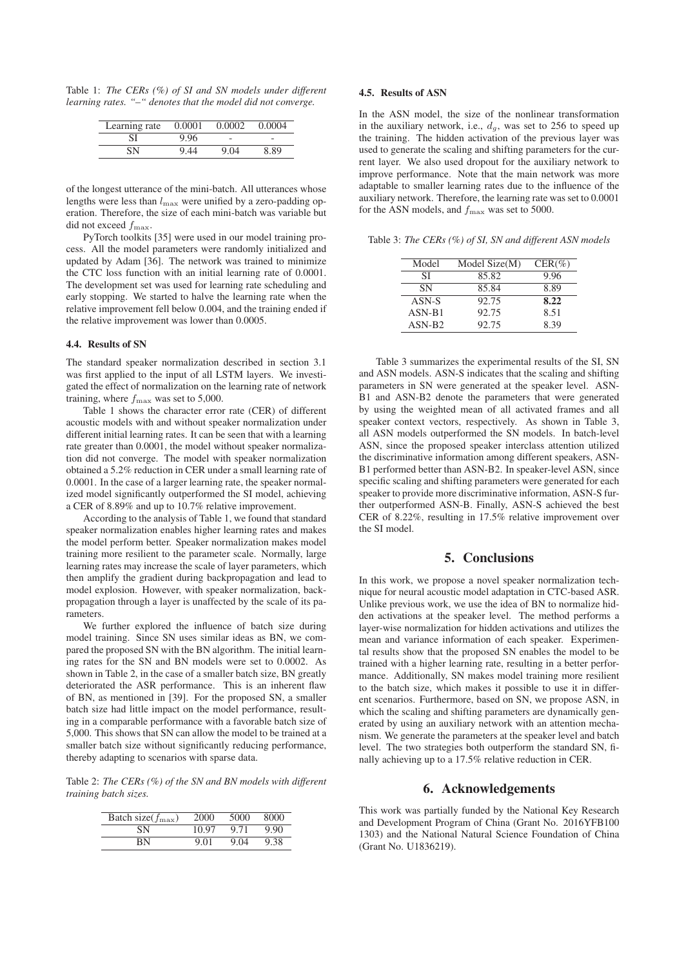Table 1: *The CERs (%) of SI and SN models under different learning rates. "–" denotes that the model did not converge.*

| Learning rate | 0.0001 | 0.0002 | 0.0004 |
|---------------|--------|--------|--------|
|               | 9.96   |        | -      |
| SΝ            | 9.44   | 9.04   | 8.89   |

of the longest utterance of the mini-batch. All utterances whose lengths were less than  $l_{\text{max}}$  were unified by a zero-padding operation. Therefore, the size of each mini-batch was variable but did not exceed  $f_{\text{max}}$ .

PyTorch toolkits [35] were used in our model training process. All the model parameters were randomly initialized and updated by Adam [36]. The network was trained to minimize the CTC loss function with an initial learning rate of 0.0001. The development set was used for learning rate scheduling and early stopping. We started to halve the learning rate when the relative improvement fell below 0.004, and the training ended if the relative improvement was lower than 0.0005.

#### 4.4. Results of SN

The standard speaker normalization described in section 3.1 was first applied to the input of all LSTM layers. We investigated the effect of normalization on the learning rate of network training, where  $f_{\text{max}}$  was set to 5,000.

Table 1 shows the character error rate (CER) of different acoustic models with and without speaker normalization under different initial learning rates. It can be seen that with a learning rate greater than 0.0001, the model without speaker normalization did not converge. The model with speaker normalization obtained a 5.2% reduction in CER under a small learning rate of 0.0001. In the case of a larger learning rate, the speaker normalized model significantly outperformed the SI model, achieving a CER of 8.89% and up to 10.7% relative improvement.

According to the analysis of Table 1, we found that standard speaker normalization enables higher learning rates and makes the model perform better. Speaker normalization makes model training more resilient to the parameter scale. Normally, large learning rates may increase the scale of layer parameters, which then amplify the gradient during backpropagation and lead to model explosion. However, with speaker normalization, backpropagation through a layer is unaffected by the scale of its parameters.

We further explored the influence of batch size during model training. Since SN uses similar ideas as BN, we compared the proposed SN with the BN algorithm. The initial learning rates for the SN and BN models were set to 0.0002. As shown in Table 2, in the case of a smaller batch size, BN greatly deteriorated the ASR performance. This is an inherent flaw of BN, as mentioned in [39]. For the proposed SN, a smaller batch size had little impact on the model performance, resulting in a comparable performance with a favorable batch size of 5,000. This shows that SN can allow the model to be trained at a smaller batch size without significantly reducing performance, thereby adapting to scenarios with sparse data.

Table 2: *The CERs (%) of the SN and BN models with different training batch sizes.*

| Batch size( $f_{\text{max}}$ ) | 2000  | 5000 | 8000 |
|--------------------------------|-------|------|------|
| SN                             | 10.97 | 9.71 | 9.90 |
| ΒN                             | 9.01  | 9.04 | 9.38 |

### 4.5. Results of ASN

In the ASN model, the size of the nonlinear transformation in the auxiliary network, i.e.,  $d_g$ , was set to 256 to speed up the training. The hidden activation of the previous layer was used to generate the scaling and shifting parameters for the current layer. We also used dropout for the auxiliary network to improve performance. Note that the main network was more adaptable to smaller learning rates due to the influence of the auxiliary network. Therefore, the learning rate was set to 0.0001 for the ASN models, and  $f_{\text{max}}$  was set to 5000.

Table 3: *The CERs (%) of SI, SN and different ASN models*

| Model     | Model Size(M) | $CER(\%)$ |
|-----------|---------------|-----------|
| SI        | 85.82         | 9.96      |
| <b>SN</b> | 85.84         | 8.89      |
| ASN-S     | 92.75         | 8.22      |
| $ASN-B1$  | 92.75         | 8.51      |
| $ASN-B2$  | 92.75         | 8.39      |
|           |               |           |

Table 3 summarizes the experimental results of the SI, SN and ASN models. ASN-S indicates that the scaling and shifting parameters in SN were generated at the speaker level. ASN-B1 and ASN-B2 denote the parameters that were generated by using the weighted mean of all activated frames and all speaker context vectors, respectively. As shown in Table 3, all ASN models outperformed the SN models. In batch-level ASN, since the proposed speaker interclass attention utilized the discriminative information among different speakers, ASN-B1 performed better than ASN-B2. In speaker-level ASN, since specific scaling and shifting parameters were generated for each speaker to provide more discriminative information, ASN-S further outperformed ASN-B. Finally, ASN-S achieved the best CER of 8.22%, resulting in 17.5% relative improvement over the SI model.

### 5. Conclusions

In this work, we propose a novel speaker normalization technique for neural acoustic model adaptation in CTC-based ASR. Unlike previous work, we use the idea of BN to normalize hidden activations at the speaker level. The method performs a layer-wise normalization for hidden activations and utilizes the mean and variance information of each speaker. Experimental results show that the proposed SN enables the model to be trained with a higher learning rate, resulting in a better performance. Additionally, SN makes model training more resilient to the batch size, which makes it possible to use it in different scenarios. Furthermore, based on SN, we propose ASN, in which the scaling and shifting parameters are dynamically generated by using an auxiliary network with an attention mechanism. We generate the parameters at the speaker level and batch level. The two strategies both outperform the standard SN, finally achieving up to a 17.5% relative reduction in CER.

### 6. Acknowledgements

This work was partially funded by the National Key Research and Development Program of China (Grant No. 2016YFB100 1303) and the National Natural Science Foundation of China (Grant No. U1836219).